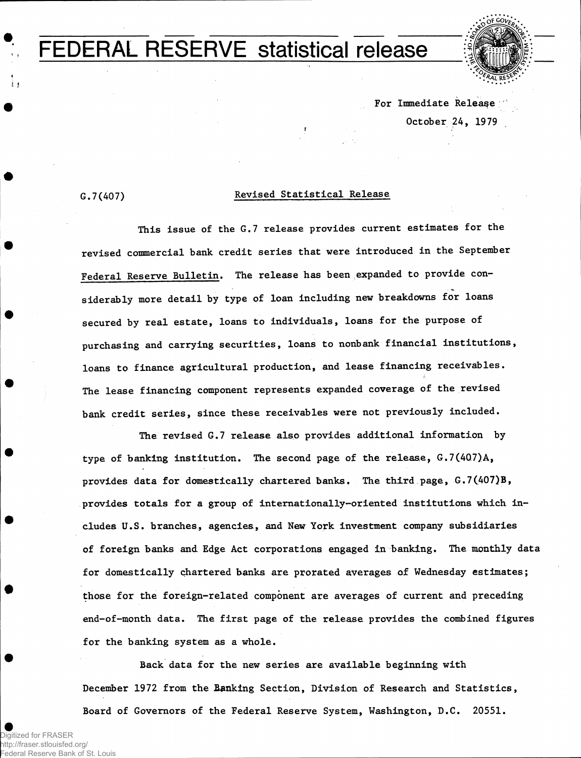## FEDERAL RESERVE statistical release



**For Immediate Release October 24, 1979**

*11* 

## **G.7(407) Revised Statistical Release**

**This issue of the G.7 release provides current estimates for the revised commercial bank credit series that were introduced in the September Federal Reserve Bulletin. The release has been expanded to provide considerably more detail by type of loan including new breakdowns for loans secured by real estate, loans to individuals, loans for the purpose of purchasing and carrying securities, loans to nonbank financial institutions, loans to finance agricultural production, and lease financing receivables. The lease financing component represents expanded coverage of the revised bank credit series, since these receivables were not previously included.**

**The revised G.7 release also provides additional information by type of banking institution. The second page of the release, G.7(407)A, provides data for domestically chartered banks. The third page, G.7(407)B, provides totals for a group of internationally-oriented institutions which includes U.S. branches, agencies, and New York investment company subsidiaries of foreign banks and. Edge Act corporations engaged in banking. The monthly data for domestically chartered banks are prorated averages of Wednesday estimates; those for the foreign-related component are averages of current and preceding end-of-month data. The first page of the release provides the combined figures for the banking system as a whole.**

**Back data for the new series are available beginning with December 1972 from the Banking Section, Division of Research and Statistics, Board of Governors of the Federal Reserve System, Washington, D.C. 20551.**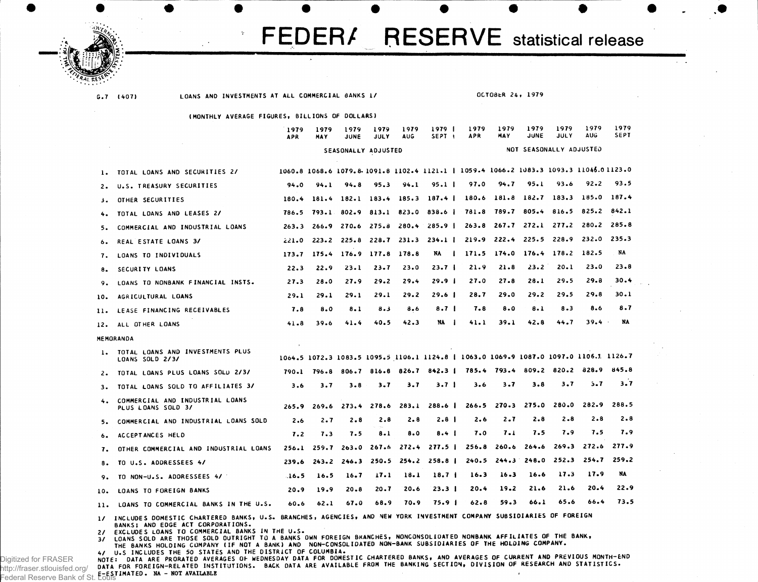

**G.7 (407)**

**LOANS AND INVESTMENTS AT ALL COMMERCIAL BANKS 1/ OCTOSfcR 24, 1979**

**(MONTHLY AVERAGE FIGURES, BILLIONS OF DOLLARS)**

|              |                                                                                                                                                                    | 1979<br><b>APR</b> | 1979<br><b>MAY</b> | 1979<br><b>JUNE</b>             | 1979<br><b>JULY</b> | 1979<br><b>AUG</b> | 1979  <br>SEPT <sub>1</sub>     | 1979<br><b>APR</b>                                                                     | 1979<br>MAY | 1979<br>JUNE            | 1979<br>JULY            | 1979<br>AUG | 1979<br><b>SEPT</b> |
|--------------|--------------------------------------------------------------------------------------------------------------------------------------------------------------------|--------------------|--------------------|---------------------------------|---------------------|--------------------|---------------------------------|----------------------------------------------------------------------------------------|-------------|-------------------------|-------------------------|-------------|---------------------|
|              |                                                                                                                                                                    |                    |                    | SEASONALLY ADJUSTED             |                     |                    |                                 |                                                                                        |             |                         | NOT SEASONALLY ADJUSTED |             |                     |
| 1.           | TOTAL LOANS AND SECURITIES 2/                                                                                                                                      |                    |                    |                                 |                     |                    |                                 | 1060.8 1068.6 1079.8 1091.8 1102.4 1121.1   1059.4 1066.2 1083.3 1093.3 11046.0 1123.0 |             |                         |                         |             |                     |
| 2.           | U.S. TREASURY SECURITIES                                                                                                                                           | 94.0               | 94.1               | 94.8                            | 95.3                | 94.1               | 95.1 <sub>1</sub>               | 97.0                                                                                   | 94.7        | 95.I                    | 93.6                    | 92.2        | 93.5                |
| د د          | OTHER SECURITIES                                                                                                                                                   | 180.4              | 181.4              |                                 |                     |                    | $182.1$ $183.4$ $185.3$ $187.4$ | 180.6                                                                                  | 181.8       | 182.7                   | 183.3                   | 185.0       | 187.4               |
| 4.           | TOTAL LOANS AND LEASES 2/                                                                                                                                          | 786.5              |                    | 793.1 802.9 813.1 823.0         |                     |                    | 838.6                           | 781.8                                                                                  |             | 789.7 805.4             | 816.5                   | 825.2       | 842.1               |
| 5.           | COMMERCIAL AND INDUSTRIAL LOANS                                                                                                                                    | 263.3              |                    |                                 |                     |                    | $266.9$ 270.6 275.8 280.4 285.9 | 263.8                                                                                  |             | 267.7 272.1 277.2       |                         | 280.2       | 285.8               |
| ь.           | REAL ESTATE LOANS 3/                                                                                                                                               | 221.0              |                    | $223.2$ $225.8$ $228.7$ $231.3$ |                     |                    | $234.1$ $\pm$                   |                                                                                        |             | $219.9$ $222.4$ $225.5$ | 228.9                   | 232.0       | 235.3               |
| 7.           | LOANS TO INDIVIDUALS                                                                                                                                               | 173.7              | 175.4              | 176.9                           | 177.8               | 178.8              | NA<br>$\mathbf{I}$              | 171.5                                                                                  | 174.0       | 176.4                   | 178.2                   | 182.5       | NA                  |
| 8.           | SECURITY LOANS                                                                                                                                                     | 22.3               | 22.9               | 23.1                            | $23 - 7$            | 23.0               | 23.7 <sub>1</sub>               | 21.9                                                                                   | 21.8        | 23.2                    | $20 - 1$                | 23.0        | $23 - 8$            |
| 9.           | LOANS TO NONBANK FINANCIAL INSTS.                                                                                                                                  | 27.3               | 28.0               | 27.9                            | 29.2                | 29.4               | 29.9 <sub>1</sub>               | 27.0                                                                                   | 27.8        | 28.1                    | 29.5                    | 29.8        | 30.4                |
| 10.          | AGRICULTURAL LOANS                                                                                                                                                 | 29.1               | 29.1               | 29.1                            | 29.1                | 29.2               | 29.6 1                          | 28.7                                                                                   | 29.0        | 29.2                    | 29.5                    | 29.8        | 30.1                |
| 11.          | LEASE FINANCING RECEIVABLES                                                                                                                                        | 7.8                | 8.0                | $8 - 1$                         | 8.3                 | 8.6                | 8.7 <sub>1</sub>                | 7.8                                                                                    | 8.0         | 8.1                     | $8 - 3$                 | 8.6         | 8.7                 |
| 12.          | ALL OTHER LOANS                                                                                                                                                    | 41.8               | 39.6               | 41.4                            | 40.5                | 42.3               | NA I                            | 41.1                                                                                   | 39.1        | 42.8                    | 44.7                    | 39.4        | NA                  |
|              | MEMORANDA                                                                                                                                                          |                    |                    |                                 |                     |                    |                                 |                                                                                        |             |                         |                         |             |                     |
| 1.           | TOTAL LOANS AND INVESTMENTS PLUS<br>LOANS SOLD 2/3/                                                                                                                |                    |                    |                                 |                     |                    |                                 | 1064.5 1072.3 1083.5 1095.5 1106.1 1124.8   1063.0 1069.9 1087.0 1097.0 1106.1 1126.7  |             |                         |                         |             |                     |
| $\mathbf{2}$ | TOTAL LOANS PLUS LOANS SOLD 2/3/                                                                                                                                   | 790.1              | 796.8              | 806.7                           |                     |                    |                                 | 816.8 826.7 842.3   785.4 793.4 809.2 820.2 828.9                                      |             |                         |                         |             | 845.8               |
| з.           | TOTAL LOANS SOLD TO AFFILIATES 3/                                                                                                                                  | 3.6                | 3.7                | $3 - 8$                         | $3 - 7$             | 3.7                | 3.7 <sub>1</sub>                | 3.6                                                                                    | $3 - 7$     | $3 - 8$                 | 3.7                     | 5.7         | 3.7                 |
| 4.           | COMMERCIAL AND INDUSTRIAL LOANS<br>PLUS LOANS SOLD 3/                                                                                                              | 265.9              | 269.6              | 273.4                           | 278.6               | 283.1              | 288.6 <sub>1</sub>              | 266.5                                                                                  | 270.3       | 275.0                   | 280.0                   | 282.9       | 288.5               |
| 5.           | COMMERCIAL AND INDUSTRIAL LOANS SOLD                                                                                                                               | 2.6                | 2.7                | $2 - 8$                         | 2.8                 | 2.8                | 2.8 <sub>1</sub>                | 2.6                                                                                    | $2 - 7$     | 2.8                     | $2 - 8$                 | 2.8         | $2 - 8$             |
| 6.           | ACCEPTANCES HELD                                                                                                                                                   | 7.2                | 7.3                | 7.5                             | $8 - 1$             | 8.0                | 8.4                             | 7.0                                                                                    | 7.1         | 7.5                     | 7.9                     | 7.5         | 7.9                 |
| 7.           | OTHER COMMERCIAL AND INDUSTRIAL LOANS                                                                                                                              | 256.1              | 259.7              | 263.0                           |                     |                    | $267.6$ $272.4$ $277.5$         | 256.8                                                                                  | 260.6       | 264.6                   | 269.3                   | 272.6       | 277.9               |
| 8.           | TO U.S. ADDRESSEES 4/                                                                                                                                              | 239.6              | 243.2              | 246.3                           | 250.5               |                    | $254.2$ $258.8$                 | 240.5                                                                                  |             | $244.3$ $248.0$         | 252.3                   | 254.7       | 259.2               |
| 9.           | TO NON-U.S. ADDRESSEES 4/                                                                                                                                          | 16.5               | 16.5               | 16.7                            | 17.1                | 18.1               | 18.7 <sub>1</sub>               | 16.3                                                                                   | $16 - 3$    | 16.6                    | 17.3                    | 17.9        | NA                  |
| 10.          | LOANS TO FOREIGN BANKS                                                                                                                                             | 20.9               | 19.9               | $20 - 8$                        | $20 - 7$            | 20.6               | 23.3 <sub>1</sub>               | 20.4                                                                                   | 19.2        | 21.6                    | 21.6                    | 20.4        | 22.9                |
| 11.          | LOANS TO COMMERCIAL BANKS IN THE U.S.                                                                                                                              | 60.6               | 62.1               | 67.0                            | 68.9                | 70.9               | 75.9 <sub>1</sub>               | 62.8                                                                                   | 59.3        | 66.1                    | 65.6                    | 66.4        | 73.5                |
|              | 1/ INCLUDES DOMESTIC CHARTERED BANKS, U.S. BRANCHES, AGENCIES, AND NEW YORK INVESTMENT COMPANY SUBSIDIARIES OF FOREIGN<br><b>BANKS: AND EDGE ACT CORPORATIONS.</b> |                    |                    |                                 |                     |                    |                                 |                                                                                        |             |                         |                         |             |                     |

BANKS; AND EDGE ACT CORPORATIONS.<br>2/ EXCLUDES LOANS TO COMMERCIAL BANKS IN THE U.S.<br>3/ LOANS SOLD ARE THOSE SOLD OUTRIGHT TO A BANKS OWN FOREIGN BRANCHES, NONCONSOLIDATED NONBANK AFFILIATES OF THE BANK,<br>THE BANKS HOLDING C

4/ U.S INCLUDES THE 50 STATES AND THE DISTRICT OF COLUMBIA.<br>NOTE: DATA ARE PRORATED AVERAGES OF WEDNESDAY DATA FOR DOMESTIC CHARTERED BANKS, AND AVERAGES OF CURRENT AND PREVIOUS MONTH-ENC<br>DATA FOR FOREIGN-RELATED INSTITUTI **E-ESTIMATED . NA - NOT AVAILABLE**

Digitized for FRASER http://fraser.stlouisfed.org/ Federal Reserve Bank of St.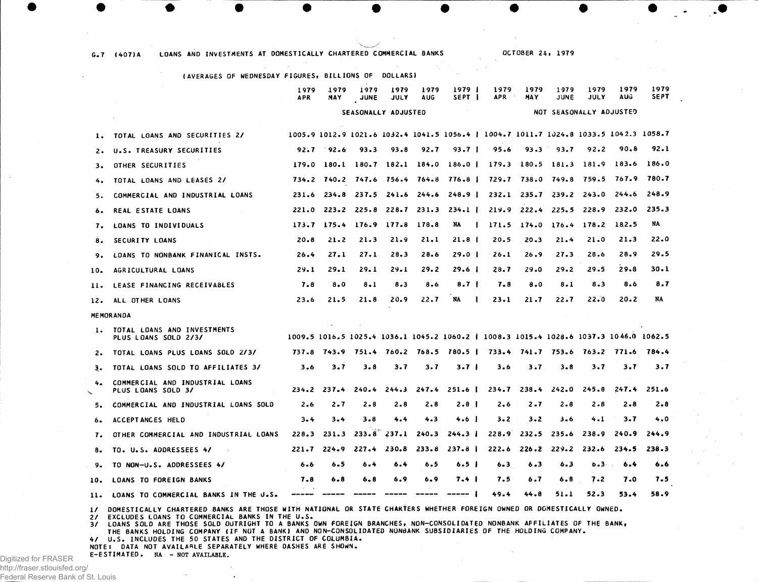|                | (AVERAGES OF WEDNESDAY FIGURES, BILLIONS OF<br><b>DOLLARS)</b> |                     |             |                     |                     |                         |                                         |                                                                                       |                   |                                 |                 |                 |                     |
|----------------|----------------------------------------------------------------|---------------------|-------------|---------------------|---------------------|-------------------------|-----------------------------------------|---------------------------------------------------------------------------------------|-------------------|---------------------------------|-----------------|-----------------|---------------------|
|                |                                                                | 1979<br><b>APR</b>  | 1979<br>MAY | 1979<br><b>JUNE</b> | 1979<br><b>JULY</b> | 1979<br><b>AUG</b>      | 1979 I<br>SEPT I                        | 1979<br><b>APR</b>                                                                    | 1979<br>MA Y      | 1979<br><b>JUNE</b>             | 1979<br>JULY    | 1979<br>AUG     | 1979<br><b>SEPT</b> |
|                |                                                                | SEASONALLY ADJUSTED |             |                     |                     | NOT SEASONALLY ADJUSTED |                                         |                                                                                       |                   |                                 |                 |                 |                     |
| ı.             | TOTAL LOANS AND SECURITIES 2/                                  |                     |             |                     |                     |                         |                                         | 1005.9 1012.9 1021.6 1032.4 1041.5 1056.4   1004.7 1011.7 1024.8 1033.5 1042.3 1058.7 |                   |                                 |                 |                 |                     |
| 2.             | U.S. TREASURY SECURITIES                                       | 92.7                | 92.6        | 93.3                | 93.8                | 92.7                    | $93.7 \text{ }1$                        | 95.6                                                                                  | 93.3              | 93.7                            | 92.2            | 90.8            | 92.1                |
| з.             | OTHER SECURITIES                                               | 179.0               | 180.1       |                     | 180.7 182.1 184.0   |                         | 186.01                                  |                                                                                       |                   | $179.3$ $180.5$ $181.3$         | 181.9           | 183.6           | 186.0               |
|                | TOTAL LOANS AND LEASES 2/                                      | 734.2               | 740.2       |                     | 747.6 756.4 764.8   |                         | 776.8 I                                 |                                                                                       | 729.7 738.0 749.8 |                                 | 759.5           | 767.9           | 780.7               |
| 5.             | COMMERCIAL AND INDUSTRIAL LOANS                                | 231.6               | 234.8       |                     | 237.5 241.6 244.6   |                         | $248.9$ $\blacksquare$                  |                                                                                       | $232.1$ $235.7$   |                                 | $239.2$ $243.0$ | 244.6           | 248.9               |
| 6.             | <b>REAL ESTATE LOANS</b>                                       | 221.0               |             |                     |                     |                         | $223.2$ $225.8$ $228.7$ $231.3$ $234.1$ |                                                                                       |                   | $219.9$ $222.4$ $225.5$ $228.9$ |                 | 232.0           | 235.3               |
| 7.             | LOANS TO INDIVIDUALS                                           | 173.7               | 175.4       |                     | 176.9 177.8 178.8   |                         | NA                                      | 171.5<br>$\mathbf{I}$                                                                 | 174.0             | 176.4                           | 178.2           | 182.5           | NA                  |
| 8.             | SECURITY LOANS                                                 | 20.8                | 21.2        | 21.3                | 21.9                | 21.1                    | $21.8$                                  | 20.5                                                                                  | 20.3              | 21.4                            | 21.0            | 21.3            | 22.0                |
| 9.             | LOANS TO NONBANK FINANICAL INSTS.                              | 26.4                | 27.1        | 27.1                | 28.3                | 28.6                    | 29.0 I                                  | 26.1                                                                                  | 26.9              | 27.3                            | 28.6            | 28.9            | 29.5                |
| 10.            | AGRICULTURAL LOANS                                             | 29.1                | 29.1        | 29.1                | 29.1                | 29.2                    | 29.6 <sub>1</sub>                       | 28.7                                                                                  | 29.0              | 29.2                            | 29.5            | 29.8            | 30.1                |
| $\mathbf{u}$ . | LEASE FINANCING RECEIVABLES                                    | 7.8                 | $8 - 0$     | $8 - 1$             | 8.3                 | 8.6                     | 8.7                                     | 7.8                                                                                   | 8.0               | 8.1                             | 8.3             | 8.6             | 8.7                 |
| 12.            | ALL OTHER LOANS                                                | 23.6                | 21.5        | 21.8                | 20.9                | 22.7                    | NA                                      | 23.1                                                                                  | 21.7              | 22.7                            | 22.0            | 20.2            | NA                  |
|                | <b>MEMORANDA</b>                                               |                     |             |                     |                     |                         |                                         |                                                                                       |                   |                                 |                 |                 |                     |
| 1.             | TOTAL LOANS AND INVESTMENTS<br>PLUS LOANS SOLD 2/3/            |                     |             |                     |                     |                         |                                         | 1009.5 1016.5 1025.4 1036.1 1045.2 1060.2   1008.3 1015.4 1028.6 1037.3 1046.0 1062.5 |                   |                                 |                 |                 |                     |
| 2.             | TOTAL LOANS PLUS LOANS SOLD 2/3/                               | 737.8               |             |                     |                     |                         | 743.9 751.4 760.2 768.5 780.5           |                                                                                       |                   | 733.4 741.7 753.6               | 763.2 771.6     |                 | 784.4               |
| з.             | TOTAL LOANS SOLD TO AFFILIATES 3/                              | 3.6                 | 3.7         | 3.8                 | 3.7                 | 3.7                     | 3.7 <sub>1</sub>                        | 3.6                                                                                   | 3.7               | $3 - 8$                         | 3.7             | 3.7             | 3.7                 |
| 4.             | COMMERCIAL AND INDUSTRIAL LOANS<br>PLUS LOANS SOLD 3/          | 234.2               | 237.4       | 240.4               | 244.3               | 247.4                   | 251.6 I                                 |                                                                                       | $234.7$ $238.4$   | 242.0                           | 245.8           | 247.4           | 251.6               |
| 5.             | COMMERCIAL AND INDUSTRIAL LOANS SOLD                           | 2.6                 | 2.7         | $2 - 8$             | 2.8                 | 2.8                     | 2.8 <sub>1</sub>                        | 2.6                                                                                   | $2 - 7$           | $2 - 8$                         | $2 - 8$         | $2 - 8$         | $2 - 8$             |
| ь.             | ACCEPTANCES HELD                                               | 3.4                 | 3.4         | 3.8                 | 4.4                 | 4.3                     | 4.6 I                                   | $3 - 2$                                                                               | $3 - 2$           | $3 - 6$                         | $4 - 1$         | 3.7             | 4.0                 |
| 7.             | OTHER COMMERCIAL AND INDUSTRIAL LOANS                          | 228.3               | 231.3       |                     | $233.8$ $237.1$     | 240.3                   | 244.3 <sub>1</sub>                      |                                                                                       | $228.9$ $232.5$   | 235.6                           | 238.9           | 240.9           | 244.9               |
| 8.             | TO. U.S. ADDRESSEES 4/                                         | 221.7               | $224 - 9$   | 227.4               | 230.8               | 233.8                   | $237.8$ $\pm$                           | 222.6                                                                                 | 226.2             | 229.2                           | 232.6           | 234.5           | 238.3               |
| 9.             | TO NON-U.S. ADDRESSEES 4/                                      | 6.6                 | 6.5         | 6.4                 | 6.4                 | 6.5                     | 6.5 <sub>1</sub>                        | 6.3                                                                                   | 6.3               | 6.3                             | 6.3             | 6.4<br>$\Delta$ | 6.6                 |
| 10.            | LOANS TO FOREIGN BANKS                                         | 7.8                 | 6.8         | 6.8                 | 6.9                 | 6.9                     | 7.4 I                                   | 7.5                                                                                   | 6.7               | 6.8                             | 7.2             | 7.0             | 7.5                 |
| 11.            | LOANS TO COMMERCIAL BANKS IN THE U.S.                          | -----               |             |                     |                     |                         |                                         | 49.4                                                                                  | 44.8              | 51.1                            | 52.3            | 53.4            | 58.9                |

**OCTOBE R 2 4 , 197 9**

1/ DOMESTICALLY CHARTERED BANKS ARE THOSE WITH NATIONAL OR STATE CHARTERS WHETHER FOREIGN OWNED OR DOMESTICALLY OWNED.

2/ EXCLUDES LOANS TO COMMERCIAL BANKS IN THE U.S.<br>3/ LOANS SOLD ARE THOSE SOLD OUTRIGHT TO A BANKS OWN FOREIGN BRANCHES, NON-CONSOLIDATED NONBANK AFFILIATES OF THE BANK,<br>THE BANKS HOLDING COMPANY (IF NOT A BANK) AND NON-CO

**4 / U.S . INCLUDE S T H E 5 0 STATE S A N D T H E DISTRIC T OF COLUMBIA .**

**G . 7 (407) A LOAN S A N D INVESTMENT S AT DOMESTICALL Y CHARTERE D COMMERCIA L BANK S**

**NOTE S DAT A N O T AVAILABL E SEPARATEL Y WHER E DASHE S A R E SHOWN .**

**E-ESTIMATED . NA - NOT AVAILABLE.**